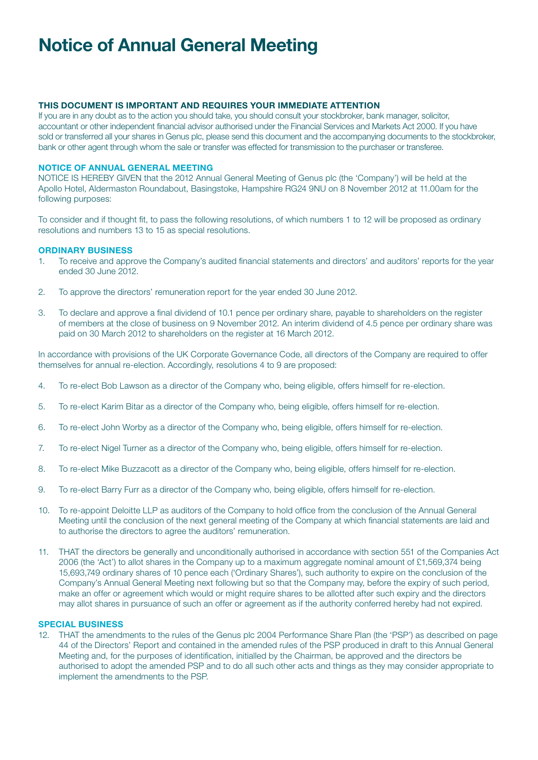# Notice of Annual General Meeting

## THIS DOCUMENT IS IMPORTANT AND REQUIRES YOUR IMMEDIATE ATTENTION

If you are in any doubt as to the action you should take, you should consult your stockbroker, bank manager, solicitor, accountant or other independent financial advisor authorised under the Financial Services and Markets Act 2000. If you have sold or transferred all your shares in Genus plc, please send this document and the accompanying documents to the stockbroker, bank or other agent through whom the sale or transfer was effected for transmission to the purchaser or transferee.

### Notice of Annual General Meeting

NOTICE IS HEREBY GIVEN that the 2012 Annual General Meeting of Genus plc (the 'Company') will be held at the Apollo Hotel, Aldermaston Roundabout, Basingstoke, Hampshire RG24 9NU on 8 November 2012 at 11.00am for the following purposes:

To consider and if thought fit, to pass the following resolutions, of which numbers 1 to 12 will be proposed as ordinary resolutions and numbers 13 to 15 as special resolutions.

#### **ORDINARY BUSINESS**

- 1. To receive and approve the Company's audited financial statements and directors' and auditors' reports for the year ended 30 June 2012.
- 2. To approve the directors' remuneration report for the year ended 30 June 2012.
- 3. To declare and approve a final dividend of 10.1 pence per ordinary share, payable to shareholders on the register of members at the close of business on 9 November 2012. An interim dividend of 4.5 pence per ordinary share was paid on 30 March 2012 to shareholders on the register at 16 March 2012.

In accordance with provisions of the UK Corporate Governance Code, all directors of the Company are required to offer themselves for annual re-election. Accordingly, resolutions 4 to 9 are proposed:

- 4. To re-elect Bob Lawson as a director of the Company who, being eligible, offers himself for re-election.
- 5. To re-elect Karim Bitar as a director of the Company who, being eligible, offers himself for re-election.
- 6. To re-elect John Worby as a director of the Company who, being eligible, offers himself for re-election.
- 7. To re-elect Nigel Turner as a director of the Company who, being eligible, offers himself for re-election.
- 8. To re-elect Mike Buzzacott as a director of the Company who, being eligible, offers himself for re-election.
- 9. To re-elect Barry Furr as a director of the Company who, being eligible, offers himself for re-election.
- 10. To re-appoint Deloitte LLP as auditors of the Company to hold office from the conclusion of the Annual General Meeting until the conclusion of the next general meeting of the Company at which financial statements are laid and to authorise the directors to agree the auditors' remuneration.
- 11. THAT the directors be generally and unconditionally authorised in accordance with section 551 of the Companies Act 2006 (the 'Act') to allot shares in the Company up to a maximum aggregate nominal amount of £1,569,374 being 15,693,749 ordinary shares of 10 pence each ('Ordinary Shares'), such authority to expire on the conclusion of the Company's Annual General Meeting next following but so that the Company may, before the expiry of such period, make an offer or agreement which would or might require shares to be allotted after such expiry and the directors may allot shares in pursuance of such an offer or agreement as if the authority conferred hereby had not expired.

#### Special Business

12. THAT the amendments to the rules of the Genus plc 2004 Performance Share Plan (the 'PSP') as described on page 44 of the Directors' Report and contained in the amended rules of the PSP produced in draft to this Annual General Meeting and, for the purposes of identification, initialled by the Chairman, be approved and the directors be authorised to adopt the amended PSP and to do all such other acts and things as they may consider appropriate to implement the amendments to the PSP.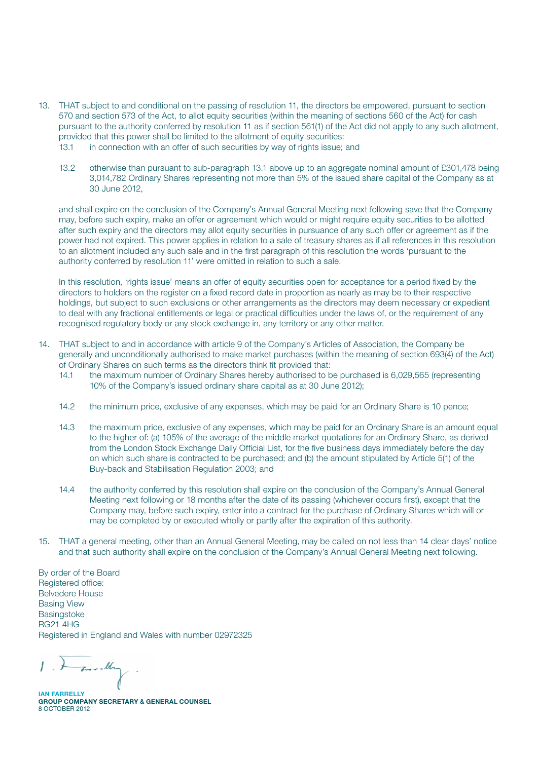- 13. THAT subject to and conditional on the passing of resolution 11, the directors be empowered, pursuant to section 570 and section 573 of the Act, to allot equity securities (within the meaning of sections 560 of the Act) for cash pursuant to the authority conferred by resolution 11 as if section 561(1) of the Act did not apply to any such allotment, provided that this power shall be limited to the allotment of equity securities:
	- 13.1 in connection with an offer of such securities by way of rights issue; and
	- 13.2 otherwise than pursuant to sub-paragraph 13.1 above up to an aggregate nominal amount of £301,478 being 3,014,782 Ordinary Shares representing not more than 5% of the issued share capital of the Company as at 30 June 2012,

 and shall expire on the conclusion of the Company's Annual General Meeting next following save that the Company may, before such expiry, make an offer or agreement which would or might require equity securities to be allotted after such expiry and the directors may allot equity securities in pursuance of any such offer or agreement as if the power had not expired. This power applies in relation to a sale of treasury shares as if all references in this resolution to an allotment included any such sale and in the first paragraph of this resolution the words 'pursuant to the authority conferred by resolution 11' were omitted in relation to such a sale.

 In this resolution, 'rights issue' means an offer of equity securities open for acceptance for a period fixed by the directors to holders on the register on a fixed record date in proportion as nearly as may be to their respective holdings, but subject to such exclusions or other arrangements as the directors may deem necessary or expedient to deal with any fractional entitlements or legal or practical difficulties under the laws of, or the requirement of any recognised regulatory body or any stock exchange in, any territory or any other matter.

- 14. THAT subject to and in accordance with article 9 of the Company's Articles of Association, the Company be generally and unconditionally authorised to make market purchases (within the meaning of section 693(4) of the Act) of Ordinary Shares on such terms as the directors think fit provided that:
	- 14.1 the maximum number of Ordinary Shares hereby authorised to be purchased is 6,029,565 (representing 10% of the Company's issued ordinary share capital as at 30 June 2012);
	- 14.2 the minimum price, exclusive of any expenses, which may be paid for an Ordinary Share is 10 pence;
	- 14.3 the maximum price, exclusive of any expenses, which may be paid for an Ordinary Share is an amount equal to the higher of: (a) 105% of the average of the middle market quotations for an Ordinary Share, as derived from the London Stock Exchange Daily Official List, for the five business days immediately before the day on which such share is contracted to be purchased; and (b) the amount stipulated by Article 5(1) of the Buy-back and Stabilisation Regulation 2003; and
	- 14.4 the authority conferred by this resolution shall expire on the conclusion of the Company's Annual General Meeting next following or 18 months after the date of its passing (whichever occurs first), except that the Company may, before such expiry, enter into a contract for the purchase of Ordinary Shares which will or may be completed by or executed wholly or partly after the expiration of this authority.
- 15. THAT a general meeting, other than an Annual General Meeting, may be called on not less than 14 clear days' notice and that such authority shall expire on the conclusion of the Company's Annual General Meeting next following.

By order of the Board Registered office: Belvedere House Basing View Basingstoke RG21 4HG Registered in England and Wales with number 02972325

- and they

**IAN FARRELL** Group Company Secretary & General Counsel 8 OCTOBER 2012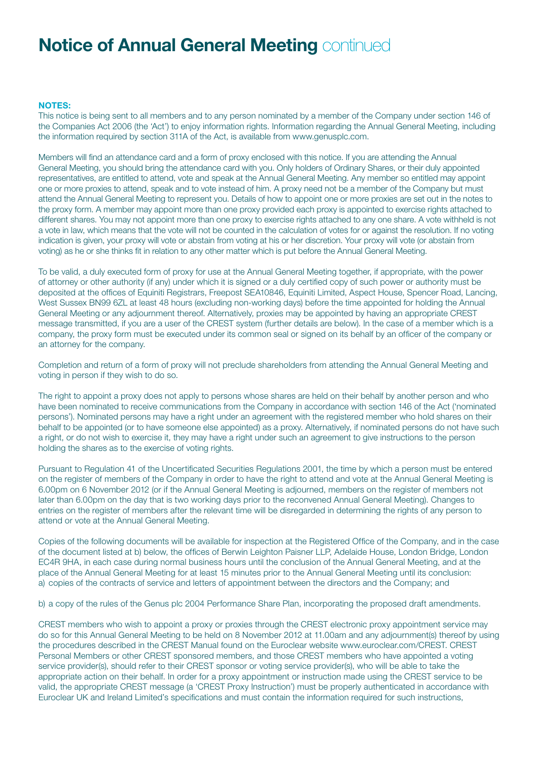# **Notice of Annual General Meeting continued**

### NOTES:

This notice is being sent to all members and to any person nominated by a member of the Company under section 146 of the Companies Act 2006 (the 'Act') to enjoy information rights. Information regarding the Annual General Meeting, including the information required by section 311A of the Act, is available from www.genusplc.com.

Members will find an attendance card and a form of proxy enclosed with this notice. If you are attending the Annual General Meeting, you should bring the attendance card with you. Only holders of Ordinary Shares, or their duly appointed representatives, are entitled to attend, vote and speak at the Annual General Meeting. Any member so entitled may appoint one or more proxies to attend, speak and to vote instead of him. A proxy need not be a member of the Company but must attend the Annual General Meeting to represent you. Details of how to appoint one or more proxies are set out in the notes to the proxy form. A member may appoint more than one proxy provided each proxy is appointed to exercise rights attached to different shares. You may not appoint more than one proxy to exercise rights attached to any one share. A vote withheld is not a vote in law, which means that the vote will not be counted in the calculation of votes for or against the resolution. If no voting indication is given, your proxy will vote or abstain from voting at his or her discretion. Your proxy will vote (or abstain from voting) as he or she thinks fit in relation to any other matter which is put before the Annual General Meeting.

To be valid, a duly executed form of proxy for use at the Annual General Meeting together, if appropriate, with the power of attorney or other authority (if any) under which it is signed or a duly certified copy of such power or authority must be deposited at the offices of Equiniti Registrars, Freepost SEA10846, Equiniti Limited, Aspect House, Spencer Road, Lancing, West Sussex BN99 6ZL at least 48 hours (excluding non-working days) before the time appointed for holding the Annual General Meeting or any adjournment thereof. Alternatively, proxies may be appointed by having an appropriate CREST message transmitted, if you are a user of the CREST system (further details are below). In the case of a member which is a company, the proxy form must be executed under its common seal or signed on its behalf by an officer of the company or an attorney for the company.

Completion and return of a form of proxy will not preclude shareholders from attending the Annual General Meeting and voting in person if they wish to do so.

The right to appoint a proxy does not apply to persons whose shares are held on their behalf by another person and who have been nominated to receive communications from the Company in accordance with section 146 of the Act ('nominated persons'). Nominated persons may have a right under an agreement with the registered member who hold shares on their behalf to be appointed (or to have someone else appointed) as a proxy. Alternatively, if nominated persons do not have such a right, or do not wish to exercise it, they may have a right under such an agreement to give instructions to the person holding the shares as to the exercise of voting rights.

Pursuant to Regulation 41 of the Uncertificated Securities Regulations 2001, the time by which a person must be entered on the register of members of the Company in order to have the right to attend and vote at the Annual General Meeting is 6.00pm on 6 November 2012 (or if the Annual General Meeting is adjourned, members on the register of members not later than 6.00pm on the day that is two working days prior to the reconvened Annual General Meeting). Changes to entries on the register of members after the relevant time will be disregarded in determining the rights of any person to attend or vote at the Annual General Meeting.

Copies of the following documents will be available for inspection at the Registered Office of the Company, and in the case of the document listed at b) below, the offices of Berwin Leighton Paisner LLP, Adelaide House, London Bridge, London EC4R 9HA, in each case during normal business hours until the conclusion of the Annual General Meeting, and at the place of the Annual General Meeting for at least 15 minutes prior to the Annual General Meeting until its conclusion: a) copies of the contracts of service and letters of appointment between the directors and the Company; and

b) a copy of the rules of the Genus plc 2004 Performance Share Plan, incorporating the proposed draft amendments.

CREST members who wish to appoint a proxy or proxies through the CREST electronic proxy appointment service may do so for this Annual General Meeting to be held on 8 November 2012 at 11.00am and any adjournment(s) thereof by using the procedures described in the CREST Manual found on the Euroclear website www.euroclear.com/CREST. CREST Personal Members or other CREST sponsored members, and those CREST members who have appointed a voting service provider(s), should refer to their CREST sponsor or voting service provider(s), who will be able to take the appropriate action on their behalf. In order for a proxy appointment or instruction made using the CREST service to be valid, the appropriate CREST message (a 'CREST Proxy Instruction') must be properly authenticated in accordance with Euroclear UK and Ireland Limited's specifications and must contain the information required for such instructions,